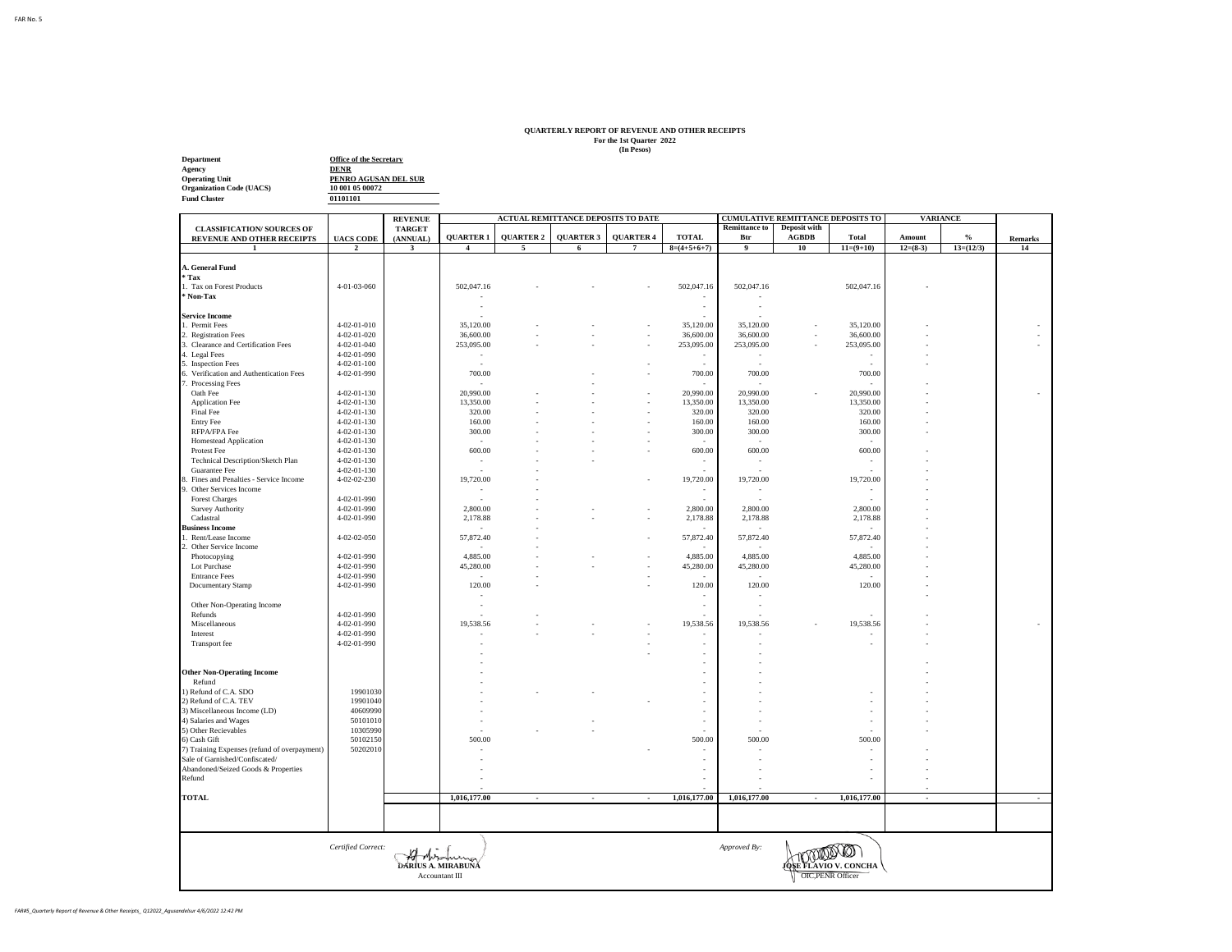## **QUARTERLY REPORT OF REVENUE AND OTHER RECEIPTS For the 1st Quarter 2022 (In Pesos)**

**Department Office of the Secretary<br>
Agency<br>
Operating Unit<br>
Organization Code (UACS)<br>
<b>Fund Cluster**<br> **Fund Cluster** 

**01101101 PENRO AGUSAN DEL SUR 10 001 05 00072**

|                                              |                     | <b>REVENUE</b>          | <b>ACTUAL REMITTANCE DEPOSITS TO DATE</b> |                          |                          |                  |               | <b>CUMULATIVE REMITTANCE DEPOSITS TO</b> |                | <b>VARIANCE</b>          |            |             |                |
|----------------------------------------------|---------------------|-------------------------|-------------------------------------------|--------------------------|--------------------------|------------------|---------------|------------------------------------------|----------------|--------------------------|------------|-------------|----------------|
| <b>CLASSIFICATION/ SOURCES OF</b>            |                     | <b>TARGET</b>           |                                           |                          |                          |                  |               | <b>Remittance to</b>                     | Deposit with   |                          |            |             |                |
| REVENUE AND OTHER RECEIPTS                   | <b>UACS CODE</b>    | (ANNUAL)                | <b>QUARTER 1</b>                          | <b>QUARTER 2</b>         | <b>QUARTER 3</b>         | <b>QUARTER 4</b> | <b>TOTAL</b>  | Btr                                      | ${\bf AGBDB}$  | Total                    | Amount     | $\%$        | <b>Remarks</b> |
|                                              | $\overline{2}$      | $\overline{\mathbf{3}}$ |                                           | 5                        | 6                        | $\overline{7}$   | $8=(4+5+6+7)$ | 9                                        | 10             | $11=(9+10)$              | $12=(8-3)$ | $13=(12/3)$ | 14             |
| A. General Fund                              |                     |                         |                                           |                          |                          |                  |               |                                          |                |                          |            |             |                |
| Tax <sup>*</sup>                             |                     |                         |                                           |                          |                          |                  |               |                                          |                |                          |            |             |                |
| 1. Tax on Forest Products                    | 4-01-03-060         |                         | 502,047.16                                |                          |                          |                  | 502,047.16    | 502,047.16                               |                | 502,047.16               |            |             |                |
| Non-Tax                                      |                     |                         |                                           |                          |                          |                  |               |                                          |                |                          |            |             |                |
|                                              |                     |                         |                                           |                          |                          |                  | ٠             |                                          |                |                          |            |             |                |
| <b>Service Income</b>                        |                     |                         |                                           |                          |                          |                  |               |                                          |                |                          |            |             |                |
| 1. Permit Fees                               | 4-02-01-010         |                         | 35,120.00                                 |                          |                          |                  | 35,120.00     | 35,120.00                                |                | 35,120.00                |            |             |                |
| 2. Registration Fees                         | 4-02-01-020         |                         | 36,600.00                                 |                          |                          | ٠                | 36,600.00     | 36,600.00                                |                | 36,600.00                |            |             |                |
| 3. Clearance and Certification Fees          | $4 - 02 - 01 - 040$ |                         | 253,095.00                                |                          |                          |                  | 253,095.00    | 253,095.00                               |                | 253,095.00               |            |             |                |
| 4. Legal Fees                                | 4-02-01-090         |                         |                                           |                          |                          |                  | ٠             |                                          |                |                          |            |             |                |
| 5. Inspection Fees                           | $4 - 02 - 01 - 100$ |                         |                                           |                          |                          |                  | ÷             | ÷                                        |                |                          |            |             |                |
| 6. Verification and Authentication Fees      | 4-02-01-990         |                         | 700.00                                    |                          |                          |                  | 700.00        | 700.00                                   |                | 700.00                   |            |             |                |
| Processing Fees                              |                     |                         |                                           |                          |                          |                  |               |                                          |                |                          |            |             |                |
| Oath Fee                                     | 4-02-01-130         |                         | 20,990.00                                 |                          |                          |                  | 20,990.00     | 20,990.00                                |                | 20,990.00                |            |             |                |
| Application Fee                              | 4-02-01-130         |                         | 13,350.00                                 |                          |                          |                  | 13,350.00     | 13,350.00                                |                | 13,350.00                |            |             |                |
| Final Fee                                    | $4 - 02 - 01 - 130$ |                         | 320.00                                    |                          |                          |                  | 320.00        | 320.00                                   |                | 320.00                   |            |             |                |
| <b>Entry Fee</b>                             | 4-02-01-130         |                         | 160.00                                    |                          |                          |                  | 160.00        | 160.00                                   |                | 160.00                   |            |             |                |
| RFPA/FPA Fee                                 | 4-02-01-130         |                         | 300.00                                    |                          |                          |                  | 300.00        | 300.00                                   |                | 300.00                   |            |             |                |
| <b>Homestead Application</b>                 | 4-02-01-130         |                         | ×,                                        |                          |                          |                  |               |                                          |                |                          |            |             |                |
| Protest Fee                                  | $4 - 02 - 01 - 130$ |                         | 600.00                                    |                          |                          |                  | 600.00        | 600.00                                   |                | 600.00                   |            |             |                |
| Technical Description/Sketch Plan            | $4 - 02 - 01 - 130$ |                         | ٠                                         |                          |                          |                  |               | ×.                                       |                |                          |            |             |                |
| Guarantee Fee                                | 4-02-01-130         |                         |                                           |                          |                          |                  |               |                                          |                |                          |            |             |                |
| 3. Fines and Penalties - Service Income      | 4-02-02-230         |                         | 19,720.00                                 |                          |                          |                  | 19,720.00     | 19,720.00                                |                | 19,720.00                |            |             |                |
| Other Services Income                        |                     |                         | ٠                                         |                          |                          |                  | $\sim$        | $\sim$                                   |                | $\sim$                   |            |             |                |
| <b>Forest Charges</b>                        | 4-02-01-990         |                         |                                           |                          |                          |                  |               |                                          |                |                          |            |             |                |
| <b>Survey Authority</b>                      | 4-02-01-990         |                         | 2,800.00                                  |                          |                          | ä,               | 2,800.00      | 2,800.00                                 |                | 2,800.00                 |            |             |                |
| Cadastral                                    | 4-02-01-990         |                         | 2,178.88                                  |                          |                          |                  | 2,178.88      | 2,178.88                                 |                | 2,178.88                 |            |             |                |
| <b>Business Income</b>                       |                     |                         |                                           |                          |                          |                  |               |                                          |                |                          |            |             |                |
| Rent/Lease Income                            | 4-02-02-050         |                         | 57,872.40                                 |                          |                          |                  | 57,872.40     | 57,872.40                                |                | 57,872.40                |            |             |                |
| Other Service Income                         |                     |                         |                                           |                          |                          |                  |               |                                          |                |                          |            |             |                |
| Photocopying                                 | 4-02-01-990         |                         | 4,885.00                                  |                          |                          |                  | 4,885.00      | 4,885.00                                 |                | 4,885.00                 |            |             |                |
| Lot Purchase                                 | 4-02-01-990         |                         | 45,280.00                                 |                          |                          |                  | 45,280.00     | 45,280.00                                |                | 45,280.00                |            |             |                |
| <b>Entrance Fees</b>                         | 4-02-01-990         |                         |                                           |                          |                          |                  |               |                                          |                |                          |            |             |                |
| Documentary Stamp                            | 4-02-01-990         |                         | 120.00                                    |                          |                          |                  | 120.00        | 120.00                                   |                | 120.00                   |            |             |                |
|                                              |                     |                         |                                           |                          |                          |                  |               |                                          |                |                          |            |             |                |
| Other Non-Operating Income                   |                     |                         | ٠                                         |                          |                          |                  | ×.            | ×                                        |                |                          |            |             |                |
| Refunds                                      | 4-02-01-990         |                         |                                           |                          |                          |                  |               |                                          |                |                          |            |             |                |
| Miscellaneous                                | 4-02-01-990         |                         | 19,538.56                                 |                          |                          |                  | 19,538.56     | 19,538.56                                |                | 19,538.56                |            |             |                |
| Interest                                     | $4 - 02 - 01 - 990$ |                         |                                           |                          |                          |                  |               |                                          |                |                          |            |             |                |
| Transport fee                                | 4-02-01-990         |                         |                                           |                          |                          |                  | ä,            |                                          |                |                          |            |             |                |
|                                              |                     |                         |                                           |                          |                          |                  |               |                                          |                |                          |            |             |                |
|                                              |                     |                         |                                           |                          |                          |                  |               |                                          |                |                          |            |             |                |
| <b>Other Non-Operating Income</b>            |                     |                         |                                           |                          |                          |                  |               |                                          |                |                          |            |             |                |
| Refund                                       |                     |                         |                                           |                          |                          |                  |               |                                          |                |                          |            |             |                |
| 1) Refund of C.A. SDO                        | 19901030            |                         |                                           |                          |                          |                  |               |                                          |                |                          |            |             |                |
| 2) Refund of C.A. TEV                        | 19901040            |                         |                                           |                          |                          |                  |               |                                          |                |                          |            |             |                |
| 3) Miscellaneous Income (LD)                 | 40609990            |                         |                                           |                          |                          |                  |               |                                          |                |                          |            |             |                |
| 4) Salaries and Wages                        | 50101010            |                         |                                           |                          |                          |                  | ٠             |                                          |                |                          |            |             |                |
| 5) Other Recievables                         | 10305990            |                         |                                           |                          |                          |                  |               |                                          |                |                          |            |             |                |
| 6) Cash Gift                                 | 50102150            |                         | 500.00                                    |                          |                          |                  | 500.00        | 500.00                                   |                | 500.00                   |            |             |                |
| 7) Training Expenses (refund of overpayment) | 50202010            |                         |                                           |                          |                          |                  |               |                                          |                |                          |            |             |                |
| Sale of Garnished/Confiscated/               |                     |                         |                                           |                          |                          |                  |               |                                          |                |                          |            |             |                |
| Abandoned/Seized Goods & Properties          |                     |                         |                                           |                          |                          |                  |               |                                          |                |                          |            |             |                |
| Refund                                       |                     |                         |                                           |                          |                          |                  |               |                                          |                |                          |            |             |                |
|                                              |                     |                         |                                           |                          |                          |                  |               |                                          |                |                          |            |             |                |
| <b>TOTAL</b>                                 |                     |                         | 1,016,177.00                              | $\overline{\phantom{a}}$ | $\overline{\phantom{a}}$ | $\sim$           | 1,016,177.00  | 1,016,177.00                             | $\blacksquare$ | 1,016,177.00             | $\sim$     |             | $\sim$         |
|                                              |                     |                         |                                           |                          |                          |                  |               |                                          |                |                          |            |             |                |
|                                              |                     |                         |                                           |                          |                          |                  |               |                                          |                |                          |            |             |                |
|                                              |                     |                         |                                           |                          |                          |                  |               |                                          |                |                          |            |             |                |
|                                              |                     |                         |                                           |                          |                          |                  |               |                                          |                |                          |            |             |                |
|                                              | Certified Correct:  |                         |                                           |                          |                          |                  |               | Approved By:                             |                |                          |            |             |                |
|                                              |                     |                         |                                           |                          |                          |                  |               |                                          |                |                          |            |             |                |
|                                              |                     |                         | DARIUS A. MIRABUNA                        |                          |                          |                  |               |                                          |                | IOSE FLAVIO V. CONCHA    |            |             |                |
|                                              |                     |                         | Accountant III                            |                          |                          |                  |               |                                          |                | <b>OIC, PENR Officer</b> |            |             |                |
|                                              |                     |                         |                                           |                          |                          |                  |               |                                          |                |                          |            |             |                |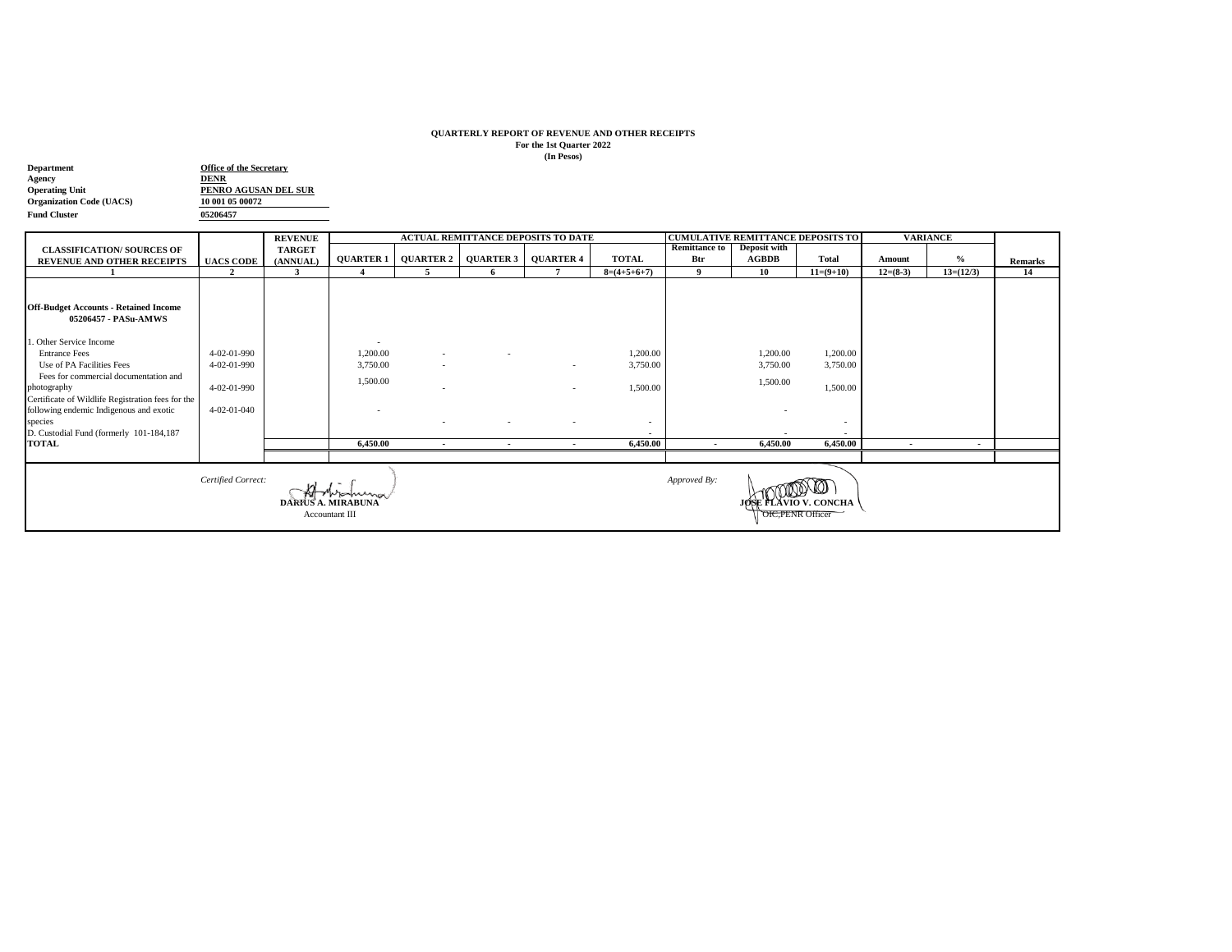## **QUARTERLY REPORT OF REVENUE AND OTHER RECEIPTS For the 1st Quarter 2022 (In Pesos)**

| Department                      | <b>Office of the Secretary</b> |  |  |  |  |  |  |
|---------------------------------|--------------------------------|--|--|--|--|--|--|
| Agency                          | <b>DENR</b>                    |  |  |  |  |  |  |
| <b>Operating Unit</b>           | PENRO AGUSAN DEL SUR           |  |  |  |  |  |  |
| <b>Organization Code (UACS)</b> | 10 001 05 00072                |  |  |  |  |  |  |
| <b>Fund Cluster</b>             | 05206457                       |  |  |  |  |  |  |

|                                                   |                     | <b>REVENUE</b>            | <b>ACTUAL REMITTANCE DEPOSITS TO DATE</b> |                          |                  |                  |                |                          |                   | <b>CUMULATIVE REMITTANCE DEPOSITS TO</b> | <b>VARIANCE</b>          |             |                |
|---------------------------------------------------|---------------------|---------------------------|-------------------------------------------|--------------------------|------------------|------------------|----------------|--------------------------|-------------------|------------------------------------------|--------------------------|-------------|----------------|
| <b>CLASSIFICATION/ SOURCES OF</b>                 |                     | <b>TARGET</b>             |                                           |                          |                  |                  |                | <b>Remittance to</b>     | Deposit with      |                                          |                          |             |                |
| <b>REVENUE AND OTHER RECEIPTS</b>                 | <b>UACS CODE</b>    | (ANNUAL)                  | <b>QUARTER 1</b>                          | <b>QUARTER 2</b>         | <b>QUARTER 3</b> | <b>QUARTER 4</b> | <b>TOTAL</b>   | Btr                      | <b>AGBDB</b>      | <b>Total</b>                             | Amount                   | $\%$        | <b>Remarks</b> |
|                                                   | $\overline{2}$      | 3                         |                                           |                          | -6               |                  | $8=(4+5+6+7)$  | 9                        | 10                | $11=(9+10)$                              | $12=(8-3)$               | $13=(12/3)$ | 14             |
| <b>Off-Budget Accounts - Retained Income</b>      |                     |                           |                                           |                          |                  |                  |                |                          |                   |                                          |                          |             |                |
| 05206457 - PASu-AMWS                              |                     |                           |                                           |                          |                  |                  |                |                          |                   |                                          |                          |             |                |
| . Other Service Income                            |                     |                           | $\sim$                                    |                          |                  |                  |                |                          |                   |                                          |                          |             |                |
| <b>Entrance Fees</b>                              | $4 - 02 - 01 - 990$ |                           | 1,200.00                                  | $\sim$                   |                  |                  | 1,200.00       |                          | 1,200.00          | 1,200.00                                 |                          |             |                |
| Use of PA Facilities Fees                         | 4-02-01-990         |                           | 3,750.00                                  | $\sim$                   |                  | $\sim$           | 3,750.00       |                          | 3,750.00          | 3,750.00                                 |                          |             |                |
| Fees for commercial documentation and             |                     |                           |                                           |                          |                  |                  |                |                          |                   |                                          |                          |             |                |
| photography                                       | 4-02-01-990         |                           | 1,500.00                                  | $\overline{\phantom{a}}$ |                  | $\sim$           | 1,500.00       |                          | 1,500.00          | 1,500.00                                 |                          |             |                |
| Certificate of Wildlife Registration fees for the |                     |                           |                                           |                          |                  |                  |                |                          |                   |                                          |                          |             |                |
| following endemic Indigenous and exotic           | 4-02-01-040         |                           |                                           |                          |                  |                  |                |                          |                   |                                          |                          |             |                |
| species                                           |                     |                           |                                           | $\sim$                   |                  | $\overline{a}$   | $\overline{a}$ |                          |                   |                                          |                          |             |                |
| D. Custodial Fund (formerly 101-184,187           |                     |                           |                                           |                          |                  |                  |                |                          |                   |                                          |                          |             |                |
| <b>TOTAL</b>                                      |                     |                           | 6,450.00                                  | $\sim$                   |                  | $\cdot$          | 6,450.00       | $\overline{\phantom{a}}$ | 6,450.00          | 6,450.00                                 | $\overline{\phantom{a}}$ | ٠           |                |
|                                                   |                     |                           |                                           |                          |                  |                  |                |                          |                   |                                          |                          |             |                |
|                                                   |                     |                           |                                           |                          |                  |                  |                |                          |                   |                                          |                          |             |                |
|                                                   | Certified Correct:  |                           | Woming                                    |                          |                  |                  |                | Approved By:             |                   |                                          |                          |             |                |
|                                                   |                     | <b>DARIUS A. MIRABUNA</b> |                                           |                          |                  |                  |                |                          |                   | JØSE FLAVIO V. CONCHA                    |                          |             |                |
| Accountant III                                    |                     |                           |                                           |                          |                  |                  |                |                          | OIC, PENR Officer |                                          |                          |             |                |
|                                                   |                     |                           |                                           |                          |                  |                  |                |                          |                   |                                          |                          |             |                |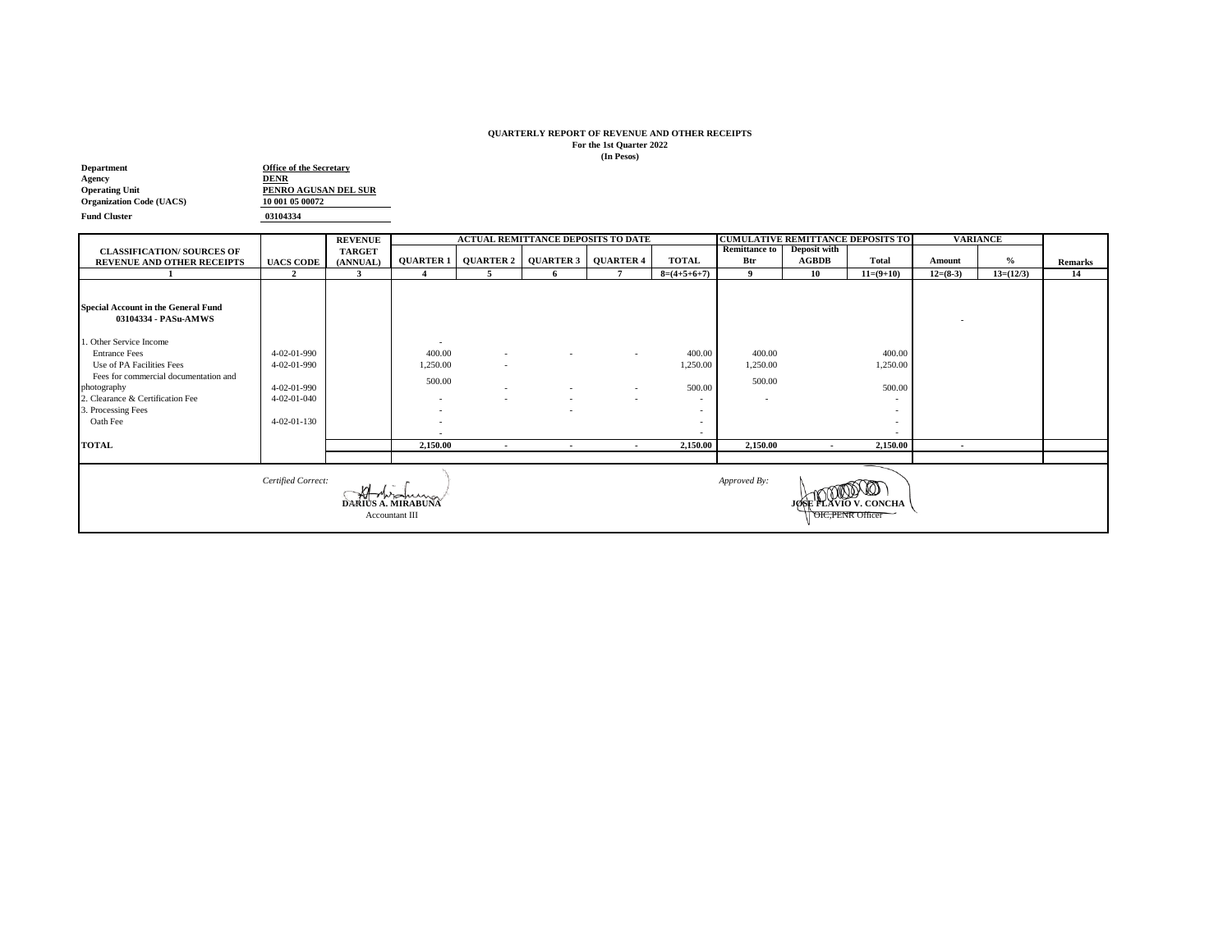## **QUARTERLY REPORT OF REVENUE AND OTHER RECEIPTS For the 1st Quarter 2022 (In Pesos)**

| <b>Department</b>               | <b>Office of the Secretary</b> |  |  |  |  |  |  |
|---------------------------------|--------------------------------|--|--|--|--|--|--|
| Agency                          | <b>DENR</b>                    |  |  |  |  |  |  |
| <b>Operating Unit</b>           | PENRO AGUSAN DEL SUR           |  |  |  |  |  |  |
| <b>Organization Code (UACS)</b> | 10 001 05 00072                |  |  |  |  |  |  |
| <b>Fund Cluster</b>             | 03104334                       |  |  |  |  |  |  |

 $\mathcal{L}(\mathcal{L})$ 

|                                                                                                                                           |                            | <b>REVENUE</b> |                                                      |                  | <b>ACTUAL REMITTANCE DEPOSITS TO DATE</b> |                              |                    | <b>CUMULATIVE REMITTANCE DEPOSITS TO</b> |              |                          | <b>VARIANCE</b> |             |                |
|-------------------------------------------------------------------------------------------------------------------------------------------|----------------------------|----------------|------------------------------------------------------|------------------|-------------------------------------------|------------------------------|--------------------|------------------------------------------|--------------|--------------------------|-----------------|-------------|----------------|
| <b>CLASSIFICATION/ SOURCES OF</b>                                                                                                         |                            | <b>TARGET</b>  |                                                      |                  |                                           |                              |                    | <b>Remittance to</b>                     | Deposit with |                          |                 |             |                |
| <b>REVENUE AND OTHER RECEIPTS</b>                                                                                                         | <b>UACS CODE</b>           | (ANNUAL)       | <b>QUARTER 1</b>                                     | <b>QUARTER 2</b> |                                           | <b>QUARTER 3   QUARTER 4</b> | <b>TOTAL</b>       | Btr                                      | <b>AGBDB</b> | Total                    | Amount          | $\%$        | <b>Remarks</b> |
|                                                                                                                                           | $\mathfrak{D}$             | 3              |                                                      | 5                | -6                                        |                              | $8=(4+5+6+7)$      | $\mathbf{Q}$                             | 10           | $11=(9+10)$              | $12=(8-3)$      | $13=(12/3)$ | 14             |
|                                                                                                                                           |                            |                |                                                      |                  |                                           |                              |                    |                                          |              |                          |                 |             |                |
| <b>Special Account in the General Fund</b><br>03104334 - PASu-AMWS                                                                        |                            |                |                                                      |                  |                                           |                              |                    |                                          |              |                          |                 |             |                |
| . Other Service Income                                                                                                                    |                            |                | $\overline{\phantom{a}}$                             |                  |                                           |                              |                    |                                          |              |                          |                 |             |                |
| <b>Entrance Fees</b><br>Use of PA Facilities Fees                                                                                         | 4-02-01-990<br>4-02-01-990 |                | 400.00<br>1,250.00                                   | $\sim$<br>$\sim$ |                                           |                              | 400.00<br>1,250.00 | 400.00<br>1,250.00                       |              | 400.00<br>1,250.00       |                 |             |                |
| Fees for commercial documentation and<br>photography                                                                                      | 4-02-01-990                |                | 500.00                                               | $\sim$           |                                           | $\overline{a}$               | 500.00             | 500.00                                   |              | 500.00                   |                 |             |                |
| 2. Clearance & Certification Fee<br>3. Processing Fees                                                                                    | 4-02-01-040                |                | $\overline{\phantom{a}}$<br>$\overline{\phantom{a}}$ |                  |                                           | $\sim$                       | $\sim$             | $\sim$                                   |              | $\overline{\phantom{a}}$ |                 |             |                |
| Oath Fee                                                                                                                                  | $4 - 02 - 01 - 130$        |                | -                                                    |                  |                                           |                              |                    |                                          |              |                          |                 |             |                |
| <b>TOTAL</b>                                                                                                                              |                            |                | 2,150.00                                             | $\sim$           |                                           |                              | 2,150.00           | 2,150.00                                 | $\sim$       | 2,150.00                 |                 |             |                |
|                                                                                                                                           |                            |                |                                                      |                  | $\sim$                                    | $\sim$                       |                    |                                          |              |                          | $\sim$          |             |                |
| Certified Correct:<br>Approved By:<br>monuma<br>DARIUS A. MIRABUÑA<br><b>JØSE FLAVIO V. CONCHA</b><br>Accountant III<br>OIC, PENR Officer |                            |                |                                                      |                  |                                           |                              |                    |                                          |              |                          |                 |             |                |